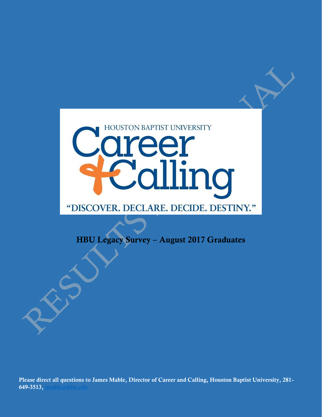

# "DISCOVER. DECLARE. DECIDE. DESTINY."

**HBU Legacy Survey – August 2017 Graduates**

**Please direct all questions to James Mable, Director of Career and Calling, Houston Baptist University, 281- 649-3513, [jmable@hbu.edu](mailto:jmable@hbu.edu)**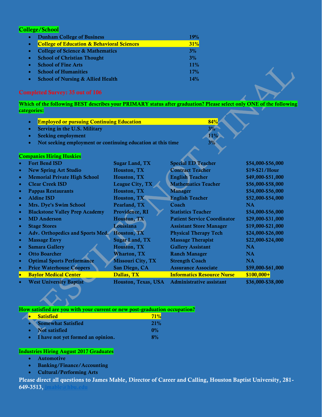### **College/School**

| $\bullet$ | <b>Dunham College of Business</b>                     | 19%        |
|-----------|-------------------------------------------------------|------------|
| $\bullet$ | <b>College of Education &amp; Behavioral Sciences</b> | 31%        |
| $\bullet$ | <b>College of Science &amp; Mathematics</b>           | 3%         |
| $\bullet$ | <b>School of Christian Thought</b>                    | 3%         |
| $\bullet$ | <b>School of Fine Arts</b>                            | 11%        |
| $\bullet$ | <b>School of Humanities</b>                           | <b>17%</b> |
| $\bullet$ | <b>School of Nursing &amp; Allied Health</b>          | 14%        |

#### **Completed Survey: 35 out of 106**

**Which of the following BEST describes your PRIMARY status after graduation? Please select only ONE of the following categories:**

| <b>Employed or pursuing Continuing Education</b> | 84% |
|--------------------------------------------------|-----|
| Serving in the U.S. Military                     |     |

- **Seeking employment 11% 11%**
- **Not seeking employment or continuing education at this time 3%**

#### **Companies Hiring Huskies**

| $\bullet$ | <b>Fort Bend ISD</b>                  | <b>Sugar Land, TX</b>    | <b>Special ED Teacher</b>          | \$54,000-\$56,000 |
|-----------|---------------------------------------|--------------------------|------------------------------------|-------------------|
| $\bullet$ | <b>New Spring Art Studio</b>          | Houston, TX              | <b>Contract Teacher</b>            | \$19-\$21/Hour    |
| $\bullet$ | <b>Memorial Private High School</b>   | Houston, TX              | <b>English Teacher</b>             | \$49,000-\$51,000 |
| $\bullet$ | <b>Clear Creek ISD</b>                | League City, TX          | <b>Mathematics Teacher</b>         | \$56,000-\$58,000 |
| $\bullet$ | <b>Pappas Restaurants</b>             | Houston, TX              | <b>Manager</b>                     | \$54,000-\$56,000 |
| $\bullet$ | <b>Aldine ISD</b>                     | Houston, TX              | <b>English Teacher</b>             | \$52,000-\$54,000 |
| $\bullet$ | Mrs. Dye's Swim School                | Pearland, TX             | Coach                              | <b>NA</b>         |
| $\bullet$ | <b>Blackstone Valley Prep Academy</b> | Providence, RI           | <b>Statistics Teacher</b>          | \$54,000-\$56,000 |
| $\bullet$ | <b>MD</b> Anderson                    | Houston, TX              | <b>Patient Service Coordinator</b> | \$29,000-\$31,000 |
| $\bullet$ | <b>Stage Stores</b>                   | Louisiana                | <b>Assistant Store Manager</b>     | \$19,000-\$21,000 |
| $\bullet$ | Adv. Orthopedics and Sports Med.      | Houston, TX              | <b>Physical Therapy Tech</b>       | \$24,000-\$26,000 |
| $\bullet$ | <b>Massage Envy</b>                   | <b>Sugar Land, TX</b>    | <b>Massage Therapist</b>           | \$22,000-\$24,000 |
| $\bullet$ | <b>Samara Gallery</b>                 | <b>Houston, TX</b>       | <b>Gallery Assistant</b>           | <b>NA</b>         |
| $\bullet$ | <b>Otto Boarcher</b>                  | <b>Wharton, TX</b>       | <b>Ranch Manager</b>               | <b>NA</b>         |
| $\bullet$ | <b>Optimal Sports Performance</b>     | <b>Missouri City, TX</b> | <b>Strength Coach</b>              | <b>NA</b>         |
| $\bullet$ | <b>Price Waterhouse Coopers</b>       | San Diego, CA            | <b>Assurance Associate</b>         | \$59,000-\$61,000 |
| o         | <b>Baylor Medical Center</b>          | Dallas, TX               | <b>Informatics Resource Nurse</b>  | $$100,000+$       |
|           | <b>West University Baptist</b>        | Houston, Texas, USA      | <b>Administrative assistant</b>    | \$36,000-\$38,000 |

#### **How satisfied are you with your current or new post-graduation occupation?**

| <b>Satisfied</b>                  | 71%   |
|-----------------------------------|-------|
| <b>Somewhat Satisfied</b>         | 21%   |
| Not satisfied                     | $0\%$ |
| I have not yet formed an opinion. | 8%    |

#### **Industries Hiring August 2017 Graduates**

- **Automotive**
- **Banking/Finance/Accounting**
- **Cultural/Performing Arts**

**Please direct all questions to James Mable, Director of Career and Calling, Houston Baptist University, 281- 649-3513, [jmable@hbu.edu](mailto:jmable@hbu.edu)**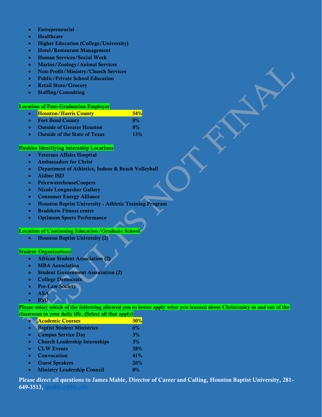- **Entrepreneurial**
- **Healthcare**
- **Higher Education (College/University)**
- **Hotel/Restaurant Management**
- **Human Services/Social Work**
- **Marine/Zoology/Animal Services**
- **Non-Profit/Ministry/Church Services**
- **Public/Private School Education**
- **Retail Store/Grocery**
- **Staffing/Consulting**

#### **Location of Post-Graduation Employer**

| $\bullet$ | <b>Houston/Harris County</b>       | 54%  |
|-----------|------------------------------------|------|
| $\bullet$ | <b>Fort Bend County</b>            | 8%   |
| $\bullet$ | <b>Outside of Greater Houston</b>  | 8%   |
|           | $\alpha$ is a contract of $\alpha$ | 190/ |

# **Outside of the State of Texas 13%**

#### **Huskies Identifying Internship Locations**

- **Veterans Affairs Hospital**
- **Ambassadors for Christ**
- **Department of Athletics, Indoor & Beach Volleyball**
- **Aldine ISD**
- **PricewaterhouseCoopers**
- **Nicole Longnecker Gallery**
- **Consumer Energy Alliance**
- **Houston Baptist University - Athletic Training Program**
- **Bradshaw Fitness center**
- **Optimum Sports Performance**

#### **Location of Continuing Education/Graduate School**

**Houston Baptist University (2)**

#### **Student Organizations**

- **African Student Association (2)**
- **MBA Association**
- **Student Government Association (2)**
- **College Democrats**
- **Pre-Law Society**
- **ASA**
- **BSU**

**Please select which of the following allowed you to better apply what you learned about Christianity in and out of the classroom to your daily life. (Select all that apply)**

| <b>Academic Courses</b>              | 50%   |
|--------------------------------------|-------|
| <b>Baptist Student Ministries</b>    | 6%    |
| <b>Campus Service Day</b>            | 3%    |
| <b>Church Leadership Internships</b> | 3%    |
| <b>CLW Events</b>                    | 38%   |
| Convocation                          | 41%   |
| <b>Guest Speakers</b>                | 26%   |
| <b>Ministry Leadership Council</b>   | $0\%$ |

**Please direct all questions to James Mable, Director of Career and Calling, Houston Baptist University, 281- 649-3513, [jmable@hbu.edu](mailto:jmable@hbu.edu)**